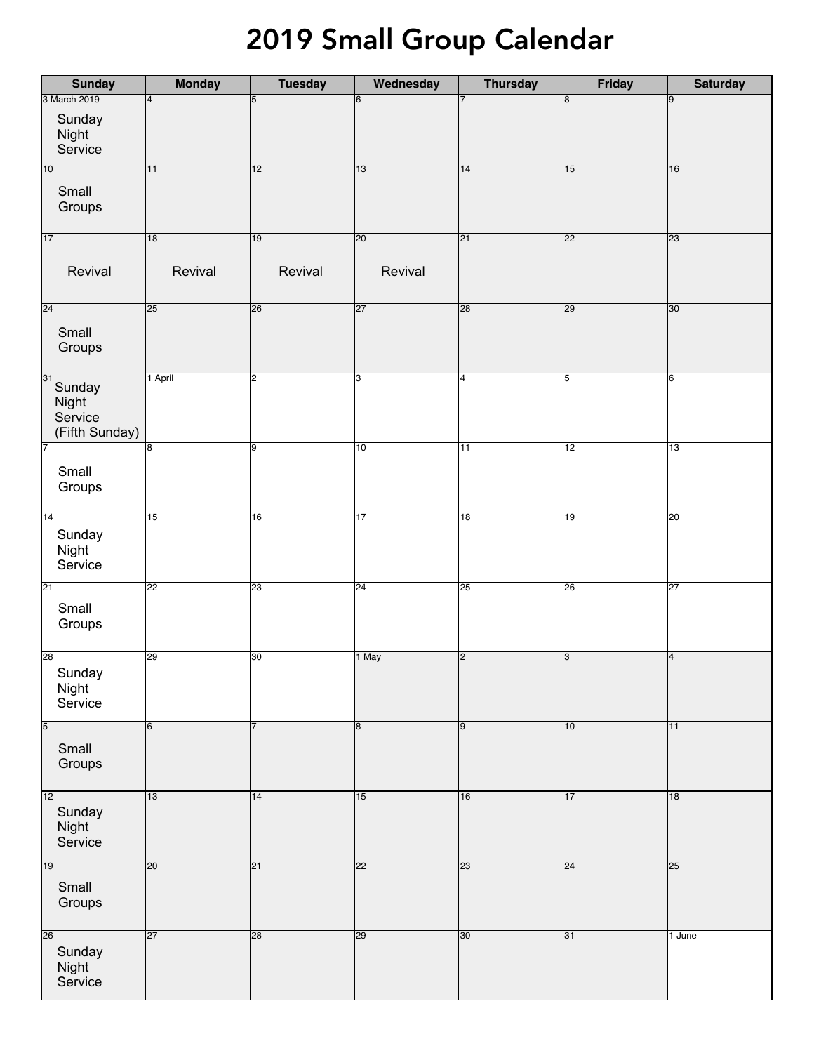| <b>2019 Small Group Calendar</b>              |                 |                 |                 |                 |                 |                 |  |
|-----------------------------------------------|-----------------|-----------------|-----------------|-----------------|-----------------|-----------------|--|
| <b>Sunday</b>                                 | <b>Monday</b>   | <b>Tuesday</b>  | Wednesday       | <b>Thursday</b> | Friday          | <b>Saturday</b> |  |
| 3 March 2019                                  | 4               | 5               | 6               |                 | 8               | 19              |  |
| Sunday<br>Night<br>Service                    |                 |                 |                 |                 |                 |                 |  |
| 10<br>Small<br>Groups                         | 11              | $\overline{12}$ | 13              | 14              | 15              | 16              |  |
| 17                                            | $\overline{18}$ | 19              | 20              | 21              | $\overline{22}$ | $ 23\rangle$    |  |
| Revival                                       | Revival         | Revival         | Revival         |                 |                 |                 |  |
| $\overline{24}$                               | $\overline{25}$ | 26              | 27              | $\overline{28}$ | 29              | $\overline{30}$ |  |
| Small<br>Groups                               |                 |                 |                 |                 |                 |                 |  |
| 31                                            | 1 April         | 2               | 3               | 14              | 5               | 16              |  |
| Sunday<br>Night<br>Service<br>(Fifth Sunday)  |                 |                 |                 |                 |                 |                 |  |
|                                               | 8               | 9               | 10              | 11              | $\overline{12}$ | $\overline{13}$ |  |
| Small<br>Groups                               |                 |                 |                 |                 |                 |                 |  |
| $\overline{14}$                               | $\overline{15}$ | $\overline{16}$ | 17              | $\overline{18}$ | $\overline{19}$ | $\overline{20}$ |  |
| Sunday<br>Night<br>Service                    |                 |                 |                 |                 |                 |                 |  |
| $\overline{21}$                               | 22              | $\overline{23}$ | $\overline{24}$ | $\overline{25}$ | $\overline{26}$ | $\overline{27}$ |  |
| Small<br>Groups                               |                 |                 |                 |                 |                 |                 |  |
| 28                                            | 29              | 30              | 1 May           | l2              | 3               | 4               |  |
| Sunday<br>Night<br>Service                    |                 |                 |                 |                 |                 |                 |  |
| $\overline{5}$                                | 6               | 7               | 8               | 9               | 10              | 11              |  |
| Small<br>Groups                               |                 |                 |                 |                 |                 |                 |  |
| 12<br>Sunday<br>Night<br>Service              | $\overline{13}$ | 14              | 15              | 16              | 17              | 18              |  |
| 19                                            | 20              | 21              | $\overline{22}$ | 23              | 24              | $\sqrt{25}$     |  |
| Small<br>Groups                               |                 |                 |                 |                 |                 |                 |  |
| $\overline{26}$<br>Sunday<br>Night<br>Service | $\overline{27}$ | 28              | $\overline{29}$ | $\overline{30}$ | $\overline{31}$ | 1 June          |  |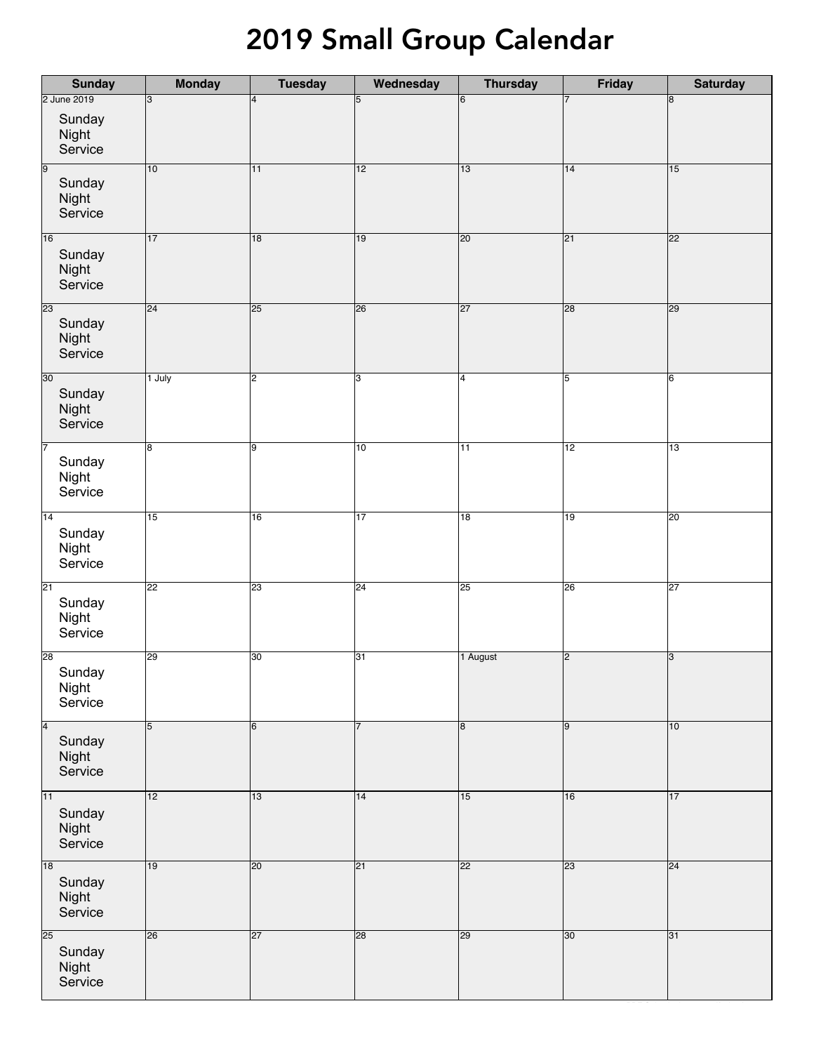| <b>2019 Small Group Calendar</b>              |                 |                 |                 |                 |                 |                 |  |
|-----------------------------------------------|-----------------|-----------------|-----------------|-----------------|-----------------|-----------------|--|
| <b>Sunday</b>                                 | <b>Monday</b>   | <b>Tuesday</b>  | Wednesday       | <b>Thursday</b> | Friday          | <b>Saturday</b> |  |
| 2 June 2019                                   | 3               | 4               | 5               | 6               |                 | 8               |  |
| Sunday<br>Night<br>Service                    |                 |                 |                 |                 |                 |                 |  |
| 9<br>Sunday<br>Night<br>Service               | 10              | 11              | 12              | 13              | $\overline{14}$ | 15              |  |
| 16<br>Sunday<br>Night<br>Service              | $\overline{17}$ | 18              | 19              | 20              | 21              | $ 22\rangle$    |  |
| $\overline{23}$<br>Sunday<br>Night<br>Service | $\overline{24}$ | 25              | 26              | $\overline{27}$ | 28              | 29              |  |
| 30<br>Sunday<br>Night<br>Service              | $1$ July        | 2               | 3               | 14              | 5               | 16              |  |
| Sunday<br>Night<br>Service                    | 8               | 9               | 10              | 11              | $\overline{12}$ | $\overline{13}$ |  |
| $\overline{14}$<br>Sunday<br>Night<br>Service | 15              | $\overline{16}$ | 17              | $\overline{18}$ | $\overline{19}$ | $\overline{20}$ |  |
| $\overline{21}$<br>Sunday<br>Night<br>Service | 22              | $\overline{23}$ | $\overline{24}$ | $\overline{25}$ | $\overline{26}$ | $\overline{27}$ |  |
| 28<br>Sunday<br>Night<br>Service              | 29              | 30              | 31              | 1 August        | 2               | 3               |  |
| $\overline{4}$<br>Sunday<br>Night<br>Service  | 5               | 6               | 7               | 8               | 9               | $\overline{10}$ |  |
| 11<br>Sunday<br>Night<br>Service              | $\overline{12}$ | 13              | 14              | 15              | 16              | $\overline{17}$ |  |
| 18<br>Sunday<br>Night<br>Service              | $\overline{19}$ | 20              | $\overline{21}$ | 22              | 23              | 24              |  |
| $\overline{25}$<br>Sunday<br>Night<br>Service | $\overline{26}$ | 27              | $\overline{28}$ | $\overline{29}$ | 30              | $\overline{31}$ |  |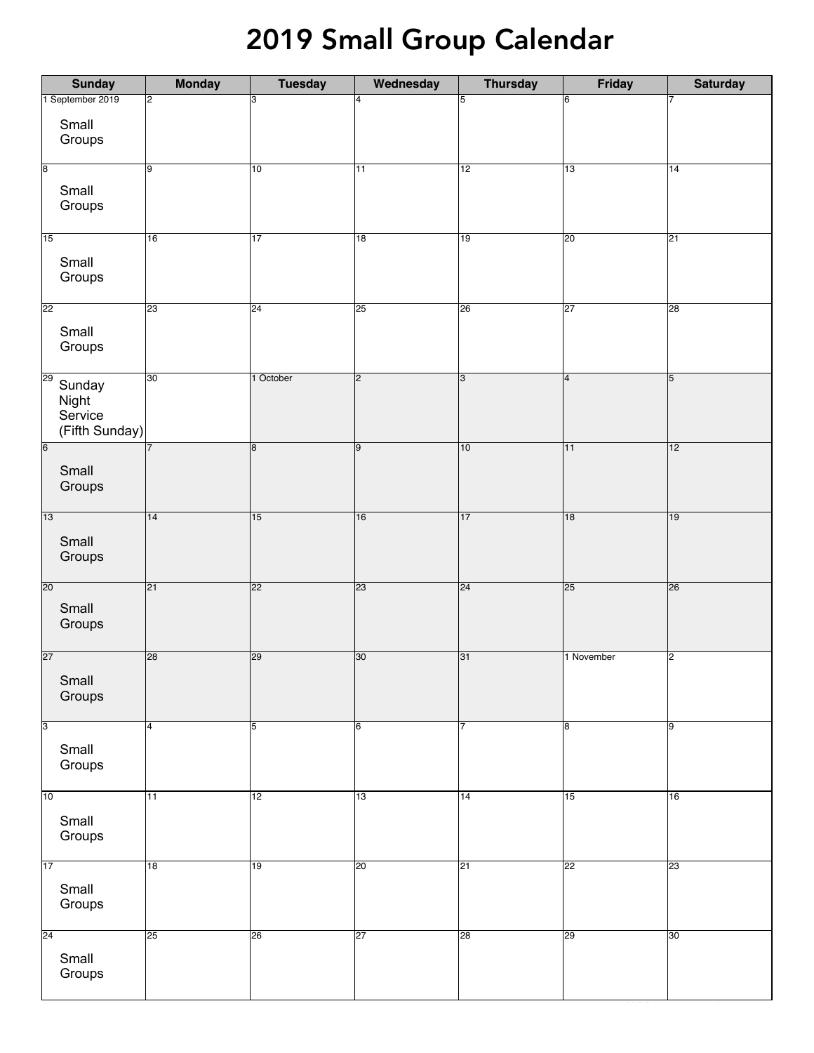| <b>2019 Small Group Calendar</b>                   |                 |                 |                 |                 |                 |                 |  |
|----------------------------------------------------|-----------------|-----------------|-----------------|-----------------|-----------------|-----------------|--|
| <b>Sunday</b>                                      | <b>Monday</b>   | <b>Tuesday</b>  | Wednesday       | <b>Thursday</b> | Friday          | <b>Saturday</b> |  |
| 1 September 2019                                   | 2               | з               | 4               | 15              | 6               |                 |  |
| Small<br>Groups                                    |                 |                 |                 |                 |                 |                 |  |
| ८<br>Small<br>Groups                               | 9               | 10              | 11              | 12              | 13              | $\overline{14}$ |  |
| $\overline{15}$<br>Small<br>Groups                 | 16              | 17              | $\overline{18}$ | $\overline{19}$ | $\overline{20}$ | 21              |  |
| 22<br>Small<br>Groups                              | 23              | 24              | $\overline{25}$ | 26              | 27              | $\overline{28}$ |  |
| 29<br>Sunday<br>Night<br>Service<br>(Fifth Sunday) | 30              | 1 October       | $\overline{c}$  | 3               | 4               | 5               |  |
| 6<br>Small<br>Groups                               |                 | $\overline{8}$  | 9               | 10              | $\overline{11}$ | 12              |  |
| 13<br>Small<br>Groups                              | $\overline{14}$ | $\overline{15}$ | 16              | $\overline{17}$ | 18              | $\overline{19}$ |  |
| $\overline{20}$<br>Small<br>Groups                 | $\overline{21}$ | $\overline{22}$ | 23              | $\overline{24}$ | $\overline{25}$ | $\overline{26}$ |  |
| $\overline{27}$<br>Small<br>Groups                 | 28              | 29              | $\overline{30}$ | $\overline{31}$ | 1 November      | 2               |  |
| $\overline{3}$<br>Small<br>Groups                  | 4               | 5               | 6               |                 | 8               | 9               |  |
| 10<br>Small<br>Groups                              | 11              | 12              | 13              | $\overline{14}$ | $\overline{15}$ | 16              |  |
| $\overline{17}$<br>Small<br>Groups                 | $\overline{18}$ | $\overline{19}$ | 20              | $\overline{21}$ | $\overline{22}$ | $\overline{23}$ |  |
| $\overline{24}$<br>Small<br>Groups                 | $\overline{25}$ | 26              | 27              | 28              | $\overline{29}$ | $\overline{30}$ |  |